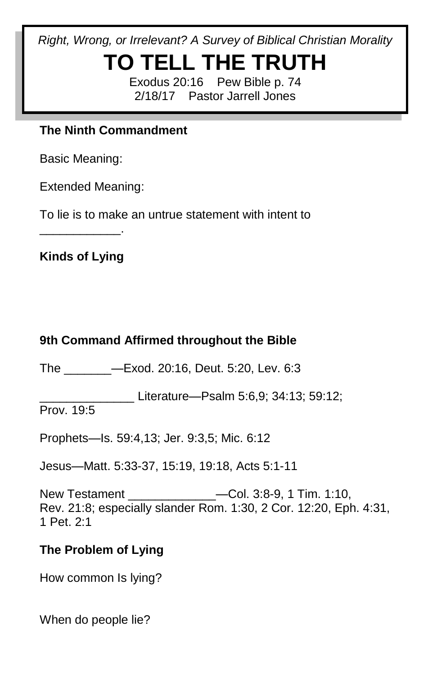*Right, Wrong, or Irrelevant? A Survey of Biblical Christian Morality*

# **TO TELL THE TRUTH**

Exodus 20:16 Pew Bible p. 74 2/18/17 Pastor Jarrell Jones

#### **The Ninth Commandment**

Basic Meaning:

Extended Meaning:

To lie is to make an untrue statement with intent to

**Kinds of Lying**

\_\_\_\_\_\_\_\_\_\_\_\_.

## **9th Command Affirmed throughout the Bible**

The \_\_\_\_\_\_\_—Exod. 20:16, Deut. 5:20, Lev. 6:3

Literature—Psalm 5:6,9; 34:13; 59:12;

Prov. 19:5

Prophets—Is. 59:4,13; Jer. 9:3,5; Mic. 6:12

Jesus—Matt. 5:33-37, 15:19, 19:18, Acts 5:1-11

New Testament \_\_\_\_\_\_\_\_\_\_\_\_\_—Col. 3:8-9, 1 Tim. 1:10, Rev. 21:8; especially slander Rom. 1:30, 2 Cor. 12:20, Eph. 4:31, 1 Pet. 2:1

## **The Problem of Lying**

How common Is lying?

When do people lie?